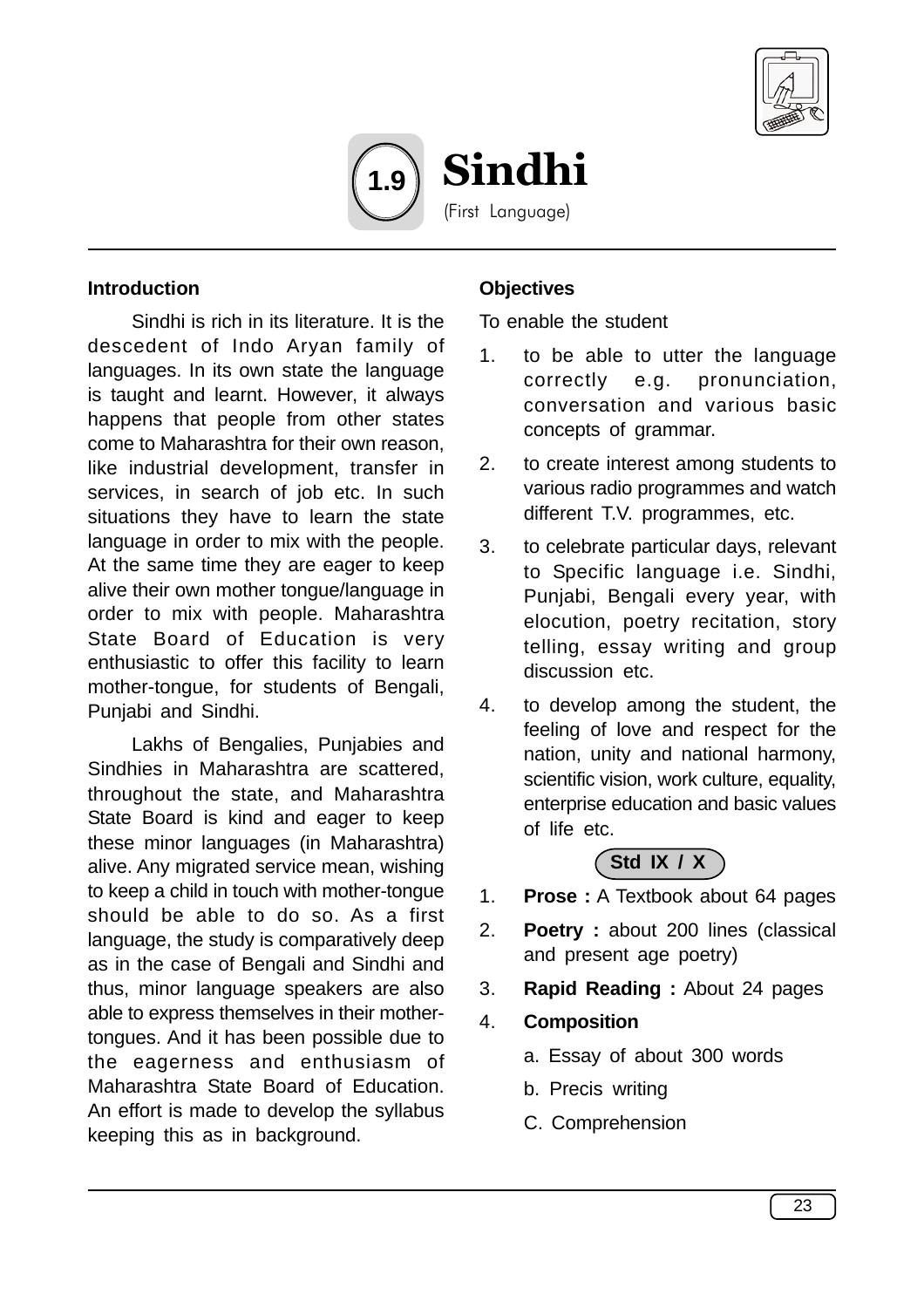



#### **Introduction**

Sindhi is rich in its literature. It is the descedent of Indo Aryan family of languages. In its own state the language is taught and learnt. However, it always happens that people from other states come to Maharashtra for their own reason, like industrial development, transfer in services, in search of job etc. In such situations they have to learn the state language in order to mix with the people. At the same time they are eager to keep alive their own mother tongue/language in order to mix with people. Maharashtra State Board of Education is very enthusiastic to offer this facility to learn mother-tongue, for students of Bengali, Punjabi and Sindhi.

Lakhs of Bengalies, Punjabies and Sindhies in Maharashtra are scattered, throughout the state, and Maharashtra State Board is kind and eager to keep these minor languages (in Maharashtra) alive. Any migrated service mean, wishing to keep a child in touch with mother-tongue should be able to do so. As a first language, the study is comparatively deep as in the case of Bengali and Sindhi and thus, minor language speakers are also able to express themselves in their mothertongues. And it has been possible due to the eagerness and enthusiasm of Maharashtra State Board of Education. An effort is made to develop the syllabus keeping this as in background.

### **Objectives**

To enable the student

- 1. to be able to utter the language correctly e.g. pronunciation, conversation and various basic concepts of grammar.
- 2. to create interest among students to various radio programmes and watch different T.V. programmes, etc.
- 3. to celebrate particular days, relevant to Specific language i.e. Sindhi, Punjabi, Bengali every year, with elocution, poetry recitation, story telling, essay writing and group discussion etc.
- 4. to develop among the student, the feeling of love and respect for the nation, unity and national harmony, scientific vision, work culture, equality, enterprise education and basic values of life etc.

# **Std IX / X**

- 1. **Prose :** A Textbook about 64 pages
- 2. **Poetry :** about 200 lines (classical and present age poetry)
- 3. **Rapid Reading :** About 24 pages
- 4. **Composition**
	- a. Essay of about 300 words
	- b. Precis writing
	- C. Comprehension